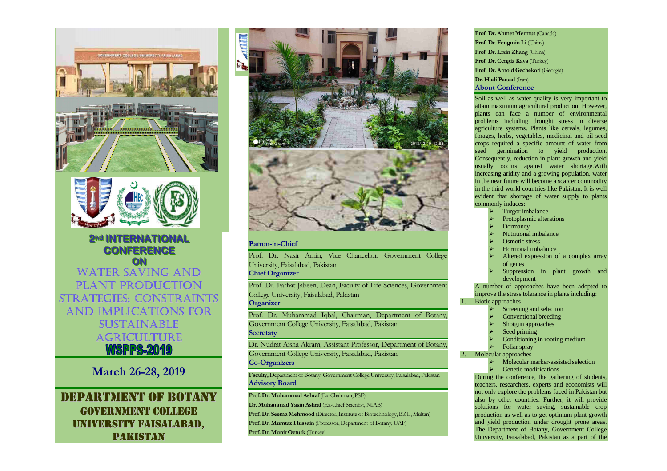



**22nndd IINNTTEERRNNAATTIIOONNAALL CONFERENCE ON** WATER SAVING AND PLANT PRODUCTION STRATEGIES: CONSTRAINTSAND IMPLICATIONS FOR SUSTAINABLE AGRICULTURE'ISPPS-201

**March 26-28, 2019** 

DEPARTMENTOFBOTANYGOVERNMENT COLLEGE UNIVERSITY FAISALABAD, PAKISTAN



## **Patron-in-Chief**

Prof. Dr. Nasir Amin, Vice Chancellor, Government College University, Faisalabad, Pakistan

# **Chief Organizer**

Prof. Dr. Farhat Jabeen, Dean, Faculty of Life Sciences, Government College University, Faisalabad, Pakistan

# **Organizer**

Prof. Dr. Muhammad Iqbal, Chairman, Department of Botany, Government College University, Faisalabad, Pakistan**Secretary** 

Dr. Nudrat Aisha Akram, Assistant Professor, Department of Botany, Government College University, Faisalabad, Pakistan**Co-Organizers** 

**Faculty,** Department of Botany, Government College University, Faisalabad, Pakistan **Advisory Board** 

**Prof. Dr. Muhammad Ashraf** (Ex-Chairman, PSF)

- **Dr. Muhammad Yasin Ashraf** (Ex-Chief Scientist, NIAB)
- **Prof. Dr. Seema Mehmood** (Director, Institute of Biotechnology, BZU, Multan)
- **Prof. Dr. Mumtaz Hussain** (Professor, Department of Botany, UAF)

**Prof. Dr. Munir Ozturk** (Turkey)

**Prof. Dr. Ahmet Mermut** (Canada) **Prof. Dr. Fengmin Li** (China) **Prof. Dr. Lixin Zhang** (China) **Prof. Dr. Cengiz Kaya** (Turkey) **Prof. Dr. Arnold Gechekori** (Georgia) **Dr. Hadi Parsad** (Iran) **About Conference** 

Soil as well as water quality is very important to attain maximum agricultural production. However, plants can face a number of environmental problems including drought stress in diverse agriculture systems. Plants like cereals, legumes, forages, herbs, vegetables, medicinal and oil seed crops required a specific amount of water from seed germination to yield production. Consequently, reduction in plant growth and yield usually occurs against water shortage.With increasing aridity and a growing population, water in the near future will become a scarcer commodity in the third world countries like Pakistan. It is well evident that shortage of water supply to plants commonly induces:

- $\triangleright$  Turgor imbalance ⋗
- ⋗ Protoplasmic alterations
- ⋗ Dormancy
- ⋗ Nutritional imbalance
- ⋗  $\triangleright$  Osmotic stress
- ⋗  $\triangleright$  Hormonal imbalance
- ⋗ Altered expression of a complex array of genes
- $\triangleright$  Suppression in plant growth and ⋗ development

 A number of approaches have been adopted to improve the stress tolerance in plants including: Biotic approaches

- ⋗ Screening and selection
- ⋗ Conventional breeding
- ⋗ Shotgun approaches
- ⋗ Seed priming
- ⋗ Conditioning in rooting medium
- ⋗ Foliar spray

2.Molecular approaches

1.

- ⋗ Molecular marker-assisted selection<br>Genetic modifications
- ⋗

 $\triangleright$  Genetic modifications<br>During the conference, the gathering of students, teachers, researchers, experts and economists will not only explore the problems faced in Pakistan but also by other countries. Further, it will provide solutions for water saving, sustainable crop production as well as to get optimum plant growth and yield production under drought prone areas. The Department of Botany, Government College University, Faisalabad, Pakistan as a part of the